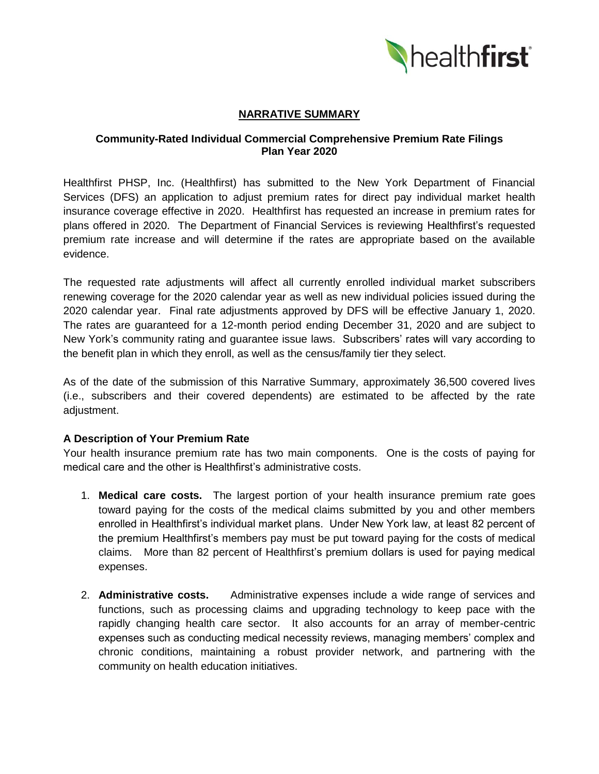

## **NARRATIVE SUMMARY**

### **Community-Rated Individual Commercial Comprehensive Premium Rate Filings Plan Year 2020**

Healthfirst PHSP, Inc. (Healthfirst) has submitted to the New York Department of Financial Services (DFS) an application to adjust premium rates for direct pay individual market health insurance coverage effective in 2020. Healthfirst has requested an increase in premium rates for plans offered in 2020. The Department of Financial Services is reviewing Healthfirst's requested premium rate increase and will determine if the rates are appropriate based on the available evidence.

The requested rate adjustments will affect all currently enrolled individual market subscribers renewing coverage for the 2020 calendar year as well as new individual policies issued during the 2020 calendar year. Final rate adjustments approved by DFS will be effective January 1, 2020. The rates are guaranteed for a 12-month period ending December 31, 2020 and are subject to New York's community rating and guarantee issue laws. Subscribers' rates will vary according to the benefit plan in which they enroll, as well as the census/family tier they select.

As of the date of the submission of this Narrative Summary, approximately 36,500 covered lives (i.e., subscribers and their covered dependents) are estimated to be affected by the rate adjustment.

## **A Description of Your Premium Rate**

Your health insurance premium rate has two main components. One is the costs of paying for medical care and the other is Healthfirst's administrative costs.

- 1. **Medical care costs.** The largest portion of your health insurance premium rate goes toward paying for the costs of the medical claims submitted by you and other members enrolled in Healthfirst's individual market plans. Under New York law, at least 82 percent of the premium Healthfirst's members pay must be put toward paying for the costs of medical claims. More than 82 percent of Healthfirst's premium dollars is used for paying medical expenses.
- 2. **Administrative costs.** Administrative expenses include a wide range of services and functions, such as processing claims and upgrading technology to keep pace with the rapidly changing health care sector. It also accounts for an array of member-centric expenses such as conducting medical necessity reviews, managing members' complex and chronic conditions, maintaining a robust provider network, and partnering with the community on health education initiatives.